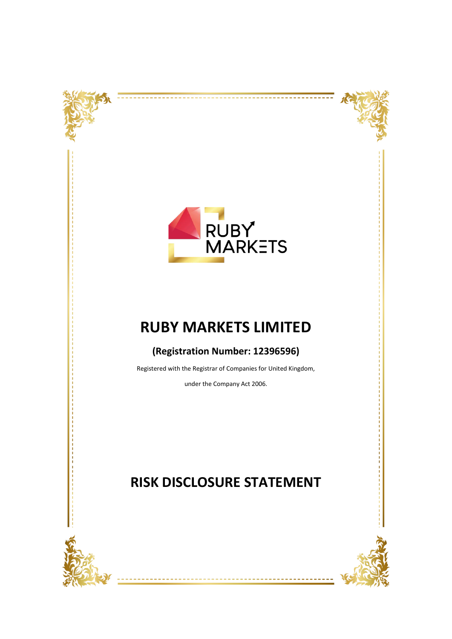



<del>. . . . . . . . . .</del>

----------



# **RUBY MARKETS LIMITED**

# **(Registration Number: 12396596)**

Registered with the Registrar of Companies for United Kingdom,

under the Company Act 2006.



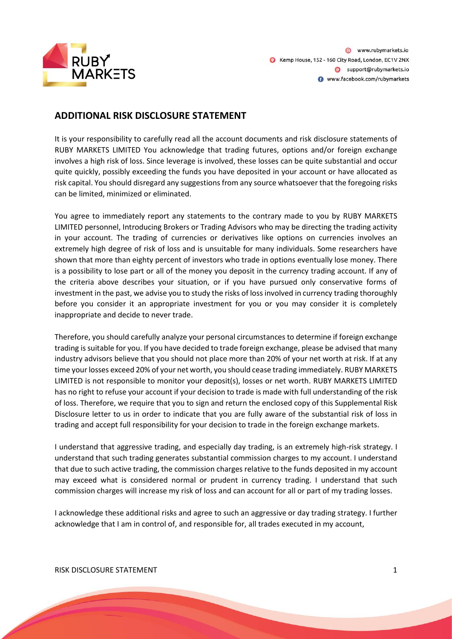

# **ADDITIONAL RISK DISCLOSURE STATEMENT**

It is your responsibility to carefully read all the account documents and risk disclosure statements of RUBY MARKETS LIMITED You acknowledge that trading futures, options and/or foreign exchange involves a high risk of loss. Since leverage is involved, these losses can be quite substantial and occur quite quickly, possibly exceeding the funds you have deposited in your account or have allocated as risk capital. You should disregard any suggestions from any source whatsoever that the foregoing risks can be limited, minimized or eliminated.

You agree to immediately report any statements to the contrary made to you by RUBY MARKETS LIMITED personnel, Introducing Brokers or Trading Advisors who may be directing the trading activity in your account. The trading of currencies or derivatives like options on currencies involves an extremely high degree of risk of loss and is unsuitable for many individuals. Some researchers have shown that more than eighty percent of investors who trade in options eventually lose money. There is a possibility to lose part or all of the money you deposit in the currency trading account. If any of the criteria above describes your situation, or if you have pursued only conservative forms of investment in the past, we advise you to study the risks of loss involved in currency trading thoroughly before you consider it an appropriate investment for you or you may consider it is completely inappropriate and decide to never trade.

Therefore, you should carefully analyze your personal circumstances to determine if foreign exchange trading is suitable for you. If you have decided to trade foreign exchange, please be advised that many industry advisors believe that you should not place more than 20% of your net worth at risk. If at any time your losses exceed 20% of your net worth, you should cease trading immediately. RUBY MARKETS LIMITED is not responsible to monitor your deposit(s), losses or net worth. RUBY MARKETS LIMITED has no right to refuse your account if your decision to trade is made with full understanding of the risk of loss. Therefore, we require that you to sign and return the enclosed copy of this Supplemental Risk Disclosure letter to us in order to indicate that you are fully aware of the substantial risk of loss in trading and accept full responsibility for your decision to trade in the foreign exchange markets.

I understand that aggressive trading, and especially day trading, is an extremely high-risk strategy. I understand that such trading generates substantial commission charges to my account. I understand that due to such active trading, the commission charges relative to the funds deposited in my account may exceed what is considered normal or prudent in currency trading. I understand that such commission charges will increase my risk of loss and can account for all or part of my trading losses.

I acknowledge these additional risks and agree to such an aggressive or day trading strategy. I further acknowledge that I am in control of, and responsible for, all trades executed in my account,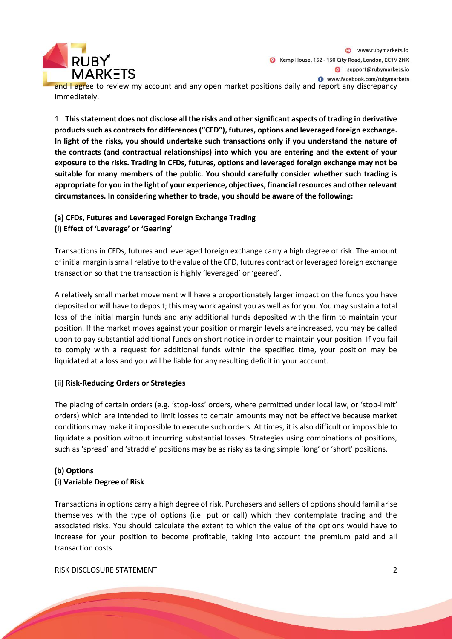

and I agree to review my account and any open market positions daily and report any discrepancy immediately.

1 **This statement does not disclose all the risks and other significant aspects of trading in derivative products such as contracts for differences ("CFD"), futures, options and leveraged foreign exchange. In light of the risks, you should undertake such transactions only if you understand the nature of the contracts (and contractual relationships) into which you are entering and the extent of your exposure to the risks. Trading in CFDs, futures, options and leveraged foreign exchange may not be suitable for many members of the public. You should carefully consider whether such trading is appropriate for you in the light of your experience, objectives, financial resources and other relevant circumstances. In considering whether to trade, you should be aware of the following:**

# **(a) CFDs, Futures and Leveraged Foreign Exchange Trading (i) Effect of 'Leverage' or 'Gearing'**

Transactions in CFDs, futures and leveraged foreign exchange carry a high degree of risk. The amount of initial margin is small relative to the value of the CFD, futures contract or leveraged foreign exchange transaction so that the transaction is highly 'leveraged' or 'geared'.

A relatively small market movement will have a proportionately larger impact on the funds you have deposited or will have to deposit; this may work against you as well as for you. You may sustain a total loss of the initial margin funds and any additional funds deposited with the firm to maintain your position. If the market moves against your position or margin levels are increased, you may be called upon to pay substantial additional funds on short notice in order to maintain your position. If you fail to comply with a request for additional funds within the specified time, your position may be liquidated at a loss and you will be liable for any resulting deficit in your account.

# **(ii) Risk-Reducing Orders or Strategies**

The placing of certain orders (e.g. 'stop-loss' orders, where permitted under local law, or 'stop-limit' orders) which are intended to limit losses to certain amounts may not be effective because market conditions may make it impossible to execute such orders. At times, it is also difficult or impossible to liquidate a position without incurring substantial losses. Strategies using combinations of positions, such as 'spread' and 'straddle' positions may be as risky as taking simple 'long' or 'short' positions.

# **(b) Options**

# **(i) Variable Degree of Risk**

Transactions in options carry a high degree of risk. Purchasers and sellers of options should familiarise themselves with the type of options (i.e. put or call) which they contemplate trading and the associated risks. You should calculate the extent to which the value of the options would have to increase for your position to become profitable, taking into account the premium paid and all transaction costs.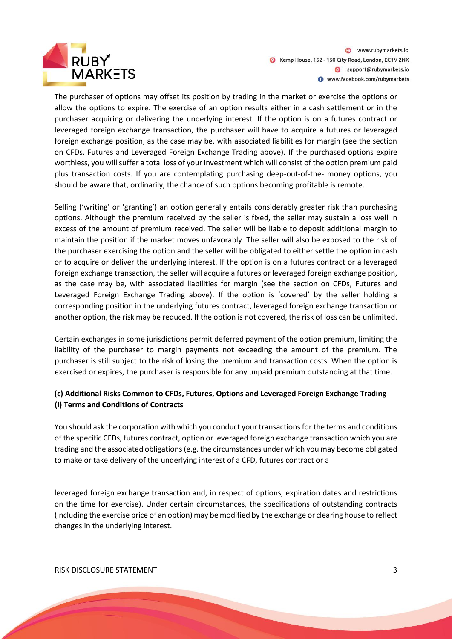

www.rubymarkets.io Kemp House, 152 - 160 City Road, London, EC1V 2NX Support@rubymarkets.io www.facebook.com/rubymarkets

The purchaser of options may offset its position by trading in the market or exercise the options or allow the options to expire. The exercise of an option results either in a cash settlement or in the purchaser acquiring or delivering the underlying interest. If the option is on a futures contract or leveraged foreign exchange transaction, the purchaser will have to acquire a futures or leveraged foreign exchange position, as the case may be, with associated liabilities for margin (see the section on CFDs, Futures and Leveraged Foreign Exchange Trading above). If the purchased options expire worthless, you will suffer a total loss of your investment which will consist of the option premium paid plus transaction costs. If you are contemplating purchasing deep-out-of-the- money options, you should be aware that, ordinarily, the chance of such options becoming profitable is remote.

Selling ('writing' or 'granting') an option generally entails considerably greater risk than purchasing options. Although the premium received by the seller is fixed, the seller may sustain a loss well in excess of the amount of premium received. The seller will be liable to deposit additional margin to maintain the position if the market moves unfavorably. The seller will also be exposed to the risk of the purchaser exercising the option and the seller will be obligated to either settle the option in cash or to acquire or deliver the underlying interest. If the option is on a futures contract or a leveraged foreign exchange transaction, the seller will acquire a futures or leveraged foreign exchange position, as the case may be, with associated liabilities for margin (see the section on CFDs, Futures and Leveraged Foreign Exchange Trading above). If the option is 'covered' by the seller holding a corresponding position in the underlying futures contract, leveraged foreign exchange transaction or another option, the risk may be reduced. If the option is not covered, the risk of loss can be unlimited.

Certain exchanges in some jurisdictions permit deferred payment of the option premium, limiting the liability of the purchaser to margin payments not exceeding the amount of the premium. The purchaser is still subject to the risk of losing the premium and transaction costs. When the option is exercised or expires, the purchaser is responsible for any unpaid premium outstanding at that time.

# **(c) Additional Risks Common to CFDs, Futures, Options and Leveraged Foreign Exchange Trading (i) Terms and Conditions of Contracts**

You should ask the corporation with which you conduct your transactions for the terms and conditions of the specific CFDs, futures contract, option or leveraged foreign exchange transaction which you are trading and the associated obligations (e.g. the circumstances under which you may become obligated to make or take delivery of the underlying interest of a CFD, futures contract or a

leveraged foreign exchange transaction and, in respect of options, expiration dates and restrictions on the time for exercise). Under certain circumstances, the specifications of outstanding contracts (including the exercise price of an option) may be modified by the exchange or clearing house to reflect changes in the underlying interest.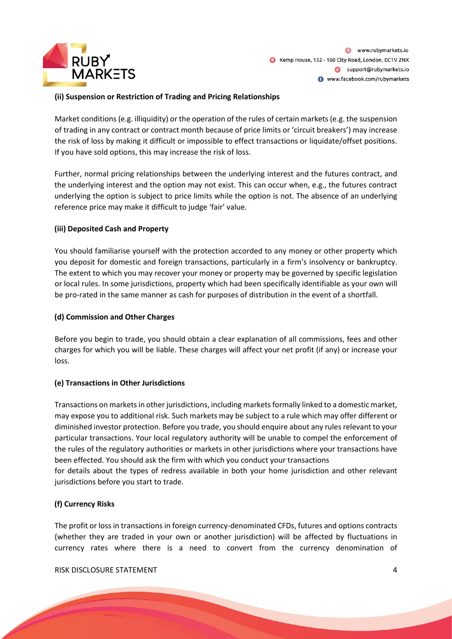

#### **(ii) Suspension or Restriction of Trading and Pricing Relationships**

Market conditions (e.g. illiquidity) or the operation of the rules of certain markets (e.g. the suspension of trading in any contract or contract month because of price limits or 'circuit breakers') may increase the risk of loss by making it difficult or impossible to effect transactions or liquidate/offset positions. If you have sold options, this may increase the risk of loss.

Further, normal pricing relationships between the underlying interest and the futures contract, and the underlying interest and the option may not exist. This can occur when, e.g., the futures contract underlying the option is subject to price limits while the option is not. The absence of an underlying reference price may make it difficult to judge 'fair' value.

#### **(iii) Deposited Cash and Property**

You should familiarise yourself with the protection accorded to any money or other property which you deposit for domestic and foreign transactions, particularly in a firm's insolvency or bankruptcy. The extent to which you may recover your money or property may be governed by specific legislation or local rules. In some jurisdictions, property which had been specifically identifiable as your own will be pro-rated in the same manner as cash for purposes of distribution in the event of a shortfall.

#### **(d) Commission and Other Charges**

Before you begin to trade, you should obtain a clear explanation of all commissions, fees and other charges for which you will be liable. These charges will affect your net profit (if any) or increase your loss.

#### **(e) Transactions in Other Jurisdictions**

Transactions on markets in other jurisdictions, including markets formally linked to a domestic market, may expose you to additional risk. Such markets may be subject to a rule which may offer different or diminished investor protection. Before you trade, you should enquire about any rules relevant to your particular transactions. Your local regulatory authority will be unable to compel the enforcement of the rules of the regulatory authorities or markets in other jurisdictions where your transactions have been effected. You should ask the firm with which you conduct your transactions

for details about the types of redress available in both your home jurisdiction and other relevant jurisdictions before you start to trade.

# **(f) Currency Risks**

The profit or loss in transactions in foreign currency-denominated CFDs, futures and options contracts (whether they are traded in your own or another jurisdiction) will be affected by fluctuations in currency rates where there is a need to convert from the currency denomination of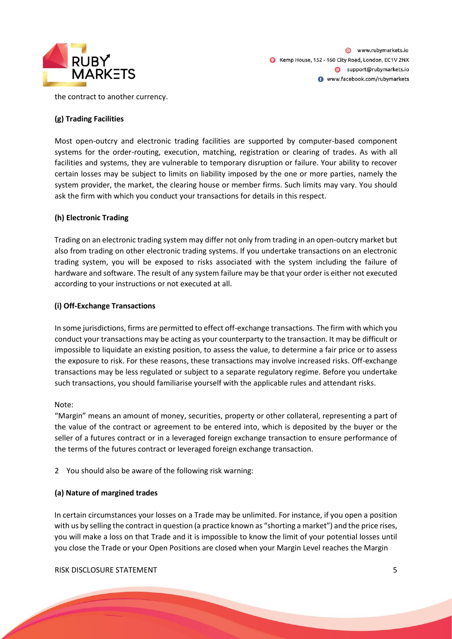

www.rubymarkets.io Kemp House, 152 - 160 City Road, London, EC1V 2NX Support@rubymarkets.io www.facebook.com/rubymarkets

the contract to another currency.

#### **(g) Trading Facilities**

Most open-outcry and electronic trading facilities are supported by computer-based component systems for the order-routing, execution, matching, registration or clearing of trades. As with all facilities and systems, they are vulnerable to temporary disruption or failure. Your ability to recover certain losses may be subject to limits on liability imposed by the one or more parties, namely the system provider, the market, the clearing house or member firms. Such limits may vary. You should ask the firm with which you conduct your transactions for details in this respect.

#### **(h) Electronic Trading**

Trading on an electronic trading system may differ not only from trading in an open-outcry market but also from trading on other electronic trading systems. If you undertake transactions on an electronic trading system, you will be exposed to risks associated with the system including the failure of hardware and software. The result of any system failure may be that your order is either not executed according to your instructions or not executed at all.

#### **(i) Off-Exchange Transactions**

In some jurisdictions, firms are permitted to effect off-exchange transactions. The firm with which you conduct your transactions may be acting as your counterparty to the transaction. It may be difficult or impossible to liquidate an existing position, to assess the value, to determine a fair price or to assess the exposure to risk. For these reasons, these transactions may involve increased risks. Off-exchange transactions may be less regulated or subject to a separate regulatory regime. Before you undertake such transactions, you should familiarise yourself with the applicable rules and attendant risks.

#### Note:

"Margin" means an amount of money, securities, property or other collateral, representing a part of the value of the contract or agreement to be entered into, which is deposited by the buyer or the seller of a futures contract or in a leveraged foreign exchange transaction to ensure performance of the terms of the futures contract or leveraged foreign exchange transaction.

2 You should also be aware of the following risk warning:

#### **(a) Nature of margined trades**

In certain circumstances your losses on a Trade may be unlimited. For instance, if you open a position with us by selling the contract in question (a practice known as "shorting a market") and the price rises, you will make a loss on that Trade and it is impossible to know the limit of your potential losses until you close the Trade or your Open Positions are closed when your Margin Level reaches the Margin